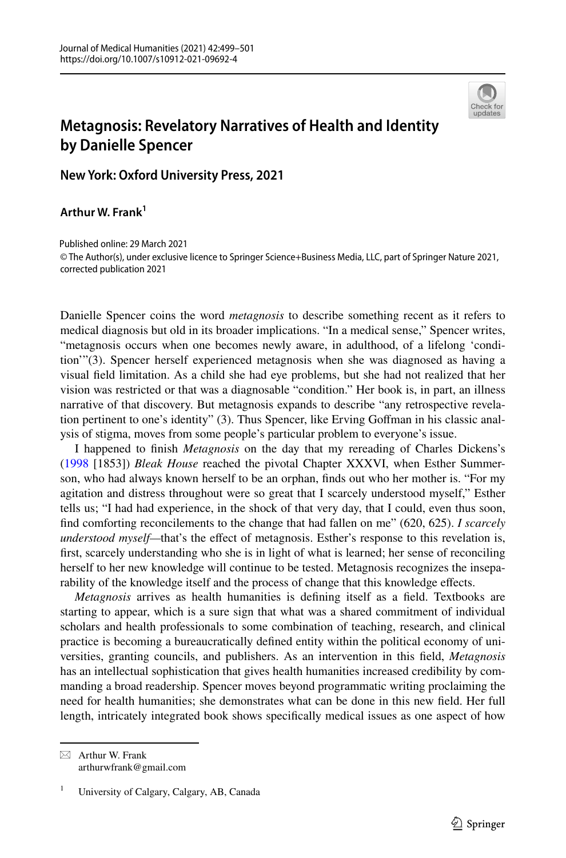

## **Metagnosis: Revelatory Narratives of Health and Identity by Danielle Spencer**

**New York: Oxford University Press, 2021**

**Arthur W. Frank1**

© The Author(s), under exclusive licence to Springer Science+Business Media, LLC, part of Springer Nature 2021, corrected publication 2021 Published online: 29 March 2021

Danielle Spencer coins the word *metagnosis* to describe something recent as it refers to medical diagnosis but old in its broader implications. "In a medical sense," Spencer writes, "metagnosis occurs when one becomes newly aware, in adulthood, of a lifelong 'condition'"(3). Spencer herself experienced metagnosis when she was diagnosed as having a visual feld limitation. As a child she had eye problems, but she had not realized that her vision was restricted or that was a diagnosable "condition." Her book is, in part, an illness narrative of that discovery. But metagnosis expands to describe "any retrospective revelation pertinent to one's identity" (3). Thus Spencer, like Erving Gofman in his classic analysis of stigma, moves from some people's particular problem to everyone's issue.

I happened to fnish *Metagnosis* on the day that my rereading of Charles Dickens's ([1998](#page-2-0) [1853]) *Bleak House* reached the pivotal Chapter XXXVI, when Esther Summerson, who had always known herself to be an orphan, fnds out who her mother is. "For my agitation and distress throughout were so great that I scarcely understood myself," Esther tells us; "I had had experience, in the shock of that very day, that I could, even thus soon, fnd comforting reconcilements to the change that had fallen on me" (620, 625). *I scarcely understood myself—that's the effect of metagnosis. Esther's response to this revelation is,* frst, scarcely understanding who she is in light of what is learned; her sense of reconciling herself to her new knowledge will continue to be tested. Metagnosis recognizes the inseparability of the knowledge itself and the process of change that this knowledge efects.

*Metagnosis* arrives as health humanities is defning itself as a feld. Textbooks are starting to appear, which is a sure sign that what was a shared commitment of individual scholars and health professionals to some combination of teaching, research, and clinical practice is becoming a bureaucratically defned entity within the political economy of universities, granting councils, and publishers. As an intervention in this feld, *Metagnosis* has an intellectual sophistication that gives health humanities increased credibility by commanding a broad readership. Spencer moves beyond programmatic writing proclaiming the need for health humanities; she demonstrates what can be done in this new feld. Her full length, intricately integrated book shows specifcally medical issues as one aspect of how

 $\boxtimes$  Arthur W. Frank arthurwfrank@gmail.com

<sup>&</sup>lt;sup>1</sup> University of Calgary, Calgary, AB, Canada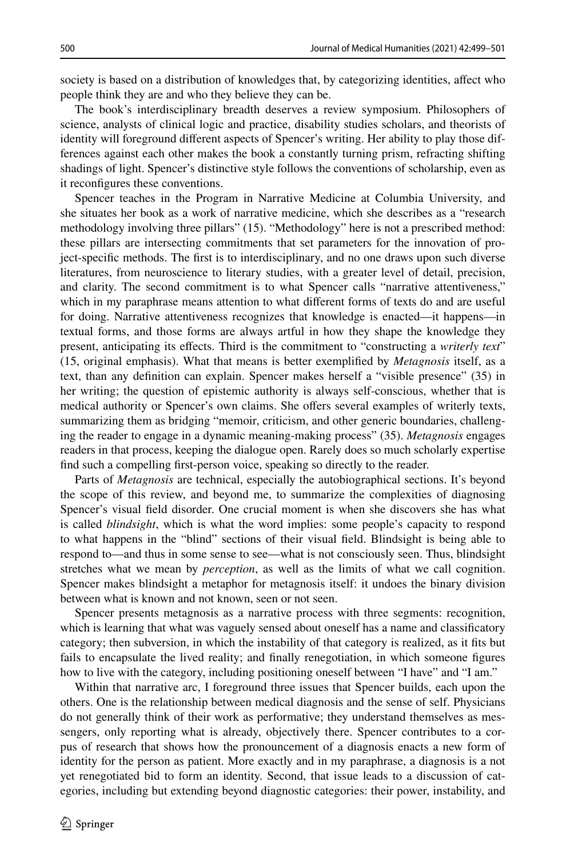society is based on a distribution of knowledges that, by categorizing identities, afect who people think they are and who they believe they can be.

The book's interdisciplinary breadth deserves a review symposium. Philosophers of science, analysts of clinical logic and practice, disability studies scholars, and theorists of identity will foreground diferent aspects of Spencer's writing. Her ability to play those differences against each other makes the book a constantly turning prism, refracting shifting shadings of light. Spencer's distinctive style follows the conventions of scholarship, even as it reconfgures these conventions.

Spencer teaches in the Program in Narrative Medicine at Columbia University, and she situates her book as a work of narrative medicine, which she describes as a "research methodology involving three pillars" (15). "Methodology" here is not a prescribed method: these pillars are intersecting commitments that set parameters for the innovation of project-specifc methods. The frst is to interdisciplinary, and no one draws upon such diverse literatures, from neuroscience to literary studies, with a greater level of detail, precision, and clarity. The second commitment is to what Spencer calls "narrative attentiveness," which in my paraphrase means attention to what diferent forms of texts do and are useful for doing. Narrative attentiveness recognizes that knowledge is enacted—it happens—in textual forms, and those forms are always artful in how they shape the knowledge they present, anticipating its efects. Third is the commitment to "constructing a *writerly text*" (15, original emphasis). What that means is better exemplifed by *Metagnosis* itself, as a text, than any defnition can explain. Spencer makes herself a "visible presence" (35) in her writing; the question of epistemic authority is always self-conscious, whether that is medical authority or Spencer's own claims. She offers several examples of writerly texts, summarizing them as bridging "memoir, criticism, and other generic boundaries, challenging the reader to engage in a dynamic meaning-making process" (35). *Metagnosis* engages readers in that process, keeping the dialogue open. Rarely does so much scholarly expertise fnd such a compelling frst-person voice, speaking so directly to the reader.

Parts of *Metagnosis* are technical, especially the autobiographical sections. It's beyond the scope of this review, and beyond me, to summarize the complexities of diagnosing Spencer's visual feld disorder. One crucial moment is when she discovers she has what is called *blindsight*, which is what the word implies: some people's capacity to respond to what happens in the "blind" sections of their visual feld. Blindsight is being able to respond to—and thus in some sense to see—what is not consciously seen. Thus, blindsight stretches what we mean by *perception*, as well as the limits of what we call cognition. Spencer makes blindsight a metaphor for metagnosis itself: it undoes the binary division between what is known and not known, seen or not seen.

Spencer presents metagnosis as a narrative process with three segments: recognition, which is learning that what was vaguely sensed about oneself has a name and classifcatory category; then subversion, in which the instability of that category is realized, as it fts but fails to encapsulate the lived reality; and fnally renegotiation, in which someone fgures how to live with the category, including positioning oneself between "I have" and "I am."

Within that narrative arc, I foreground three issues that Spencer builds, each upon the others. One is the relationship between medical diagnosis and the sense of self. Physicians do not generally think of their work as performative; they understand themselves as messengers, only reporting what is already, objectively there. Spencer contributes to a corpus of research that shows how the pronouncement of a diagnosis enacts a new form of identity for the person as patient. More exactly and in my paraphrase, a diagnosis is a not yet renegotiated bid to form an identity. Second, that issue leads to a discussion of categories, including but extending beyond diagnostic categories: their power, instability, and